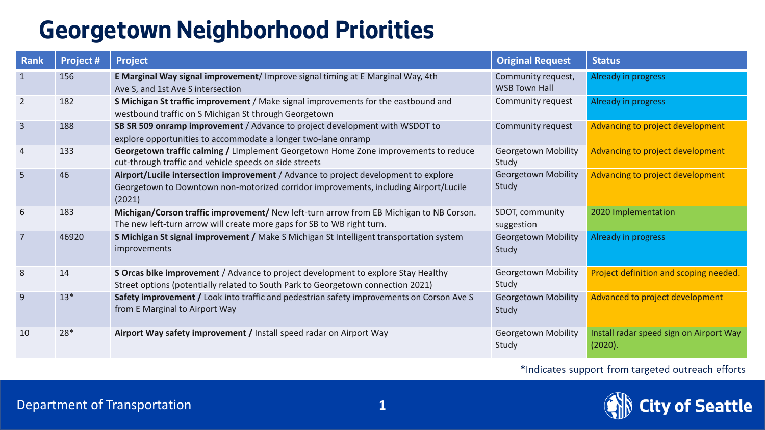## **Georgetown Neighborhood Priorities**

| <b>Rank</b>    | Project # | <b>Project</b>                                                                                                                                                                        | <b>Original Request</b>                    | <b>Status</b>                                      |
|----------------|-----------|---------------------------------------------------------------------------------------------------------------------------------------------------------------------------------------|--------------------------------------------|----------------------------------------------------|
| -1             | 156       | E Marginal Way signal improvement/ Improve signal timing at E Marginal Way, 4th<br>Ave S, and 1st Ave S intersection                                                                  | Community request,<br><b>WSB Town Hall</b> | Already in progress                                |
| $\overline{2}$ | 182       | S Michigan St traffic improvement / Make signal improvements for the eastbound and<br>westbound traffic on S Michigan St through Georgetown                                           | Community request                          | Already in progress                                |
| $\overline{3}$ | 188       | SB SR 509 onramp improvement / Advance to project development with WSDOT to<br>explore opportunities to accommodate a longer two-lane onramp                                          | Community request                          | Advancing to project development                   |
| $\overline{4}$ | 133       | Georgetown traffic calming / Limplement Georgetown Home Zone improvements to reduce<br>cut-through traffic and vehicle speeds on side streets                                         | Georgetown Mobility<br>Study               | Advancing to project development                   |
| 5              | 46        | Airport/Lucile intersection improvement / Advance to project development to explore<br>Georgetown to Downtown non-motorized corridor improvements, including Airport/Lucile<br>(2021) | <b>Georgetown Mobility</b><br>Study        | Advancing to project development                   |
| 6              | 183       | Michigan/Corson traffic improvement/ New left-turn arrow from EB Michigan to NB Corson.<br>The new left-turn arrow will create more gaps for SB to WB right turn.                     | SDOT, community<br>suggestion              | 2020 Implementation                                |
| $\overline{7}$ | 46920     | S Michigan St signal improvement / Make S Michigan St Intelligent transportation system<br>improvements                                                                               | Georgetown Mobility<br>Study               | Already in progress                                |
| 8              | 14        | S Orcas bike improvement / Advance to project development to explore Stay Healthy<br>Street options (potentially related to South Park to Georgetown connection 2021)                 | Georgetown Mobility<br>Study               | Project definition and scoping needed.             |
| $\overline{9}$ | $13*$     | Safety improvement / Look into traffic and pedestrian safety improvements on Corson Ave S<br>from E Marginal to Airport Way                                                           | <b>Georgetown Mobility</b><br>Study        | Advanced to project development                    |
| 10             | 28*       | Airport Way safety improvement / Install speed radar on Airport Way                                                                                                                   | Georgetown Mobility<br>Study               | Install radar speed sign on Airport Way<br>(2020). |

\*Indicates support from targeted outreach efforts